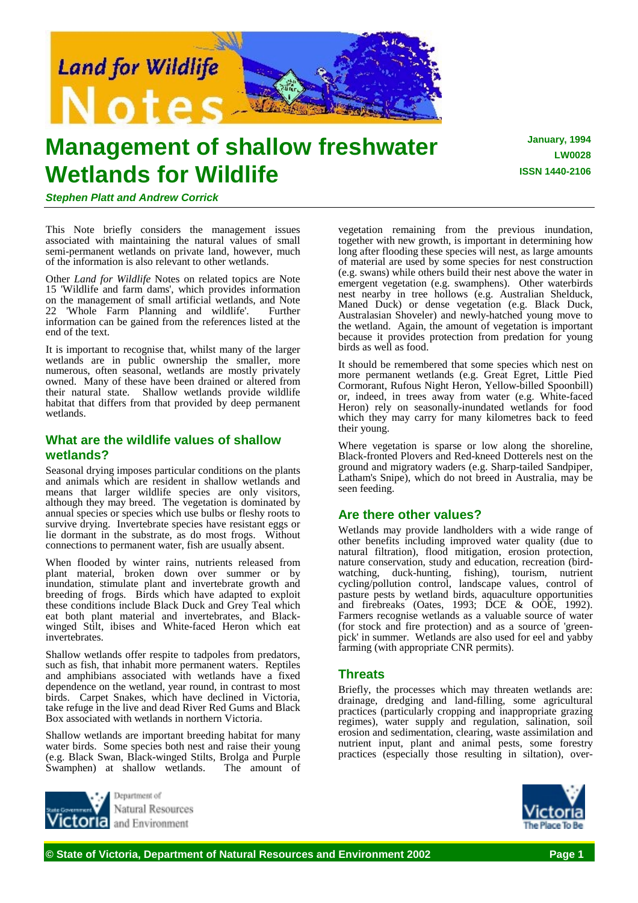

# **Management of shallow freshwater Wetlands for Wildlife**

**January, 1994 LW0028 ISSN 1440-2106**

*Stephen Platt and Andrew Corrick*

This Note briefly considers the management issues associated with maintaining the natural values of small semi-permanent wetlands on private land, however, much of the information is also relevant to other wetlands.

Other *Land for Wildlife* Notes on related topics are Note 15 'Wildlife and farm dams', which provides information on the management of small artificial wetlands, and Note 22 'Whole Farm Planning and wildlife'. Further information can be gained from the references listed at the end of the text.

It is important to recognise that, whilst many of the larger wetlands are in public ownership the smaller, more numerous, often seasonal, wetlands are mostly privately owned. Many of these have been drained or altered from their natural state. Shallow wetlands provide wildlife habitat that differs from that provided by deep permanent wetlands.

# **What are the wildlife values of shallow wetlands?**

Seasonal drying imposes particular conditions on the plants and animals which are resident in shallow wetlands and means that larger wildlife species are only visitors, although they may breed. The vegetation is dominated by annual species or species which use bulbs or fleshy roots to survive drying. Invertebrate species have resistant eggs or lie dormant in the substrate, as do most frogs. Without connections to permanent water, fish are usually absent.

When flooded by winter rains, nutrients released from plant material, broken down over summer or by inundation, stimulate plant and invertebrate growth and breeding of frogs. Birds which have adapted to exploit these conditions include Black Duck and Grey Teal which eat both plant material and invertebrates, and Blackwinged Stilt, ibises and White-faced Heron which eat invertebrates.

Shallow wetlands offer respite to tadpoles from predators, such as fish, that inhabit more permanent waters. Reptiles and amphibians associated with wetlands have a fixed dependence on the wetland, year round, in contrast to most birds. Carpet Snakes, which have declined in Victoria, take refuge in the live and dead River Red Gums and Black Box associated with wetlands in northern Victoria.

Shallow wetlands are important breeding habitat for many water birds. Some species both nest and raise their young (e.g. Black Swan, Black-winged Stilts, Brolga and Purple Swamphen) at shallow wetlands.



vegetation remaining from the previous inundation, together with new growth, is important in determining how long after flooding these species will nest, as large amounts of material are used by some species for nest construction (e.g. swans) while others build their nest above the water in emergent vegetation (e.g. swamphens). Other waterbirds nest nearby in tree hollows (e.g. Australian Shelduck, Maned Duck) or dense vegetation (e.g. Black Duck, Australasian Shoveler) and newly-hatched young move to the wetland. Again, the amount of vegetation is important because it provides protection from predation for young birds as well as food.

It should be remembered that some species which nest on more permanent wetlands (e.g. Great Egret, Little Pied Cormorant, Rufous Night Heron, Yellow-billed Spoonbill) or, indeed, in trees away from water (e.g. White-faced Heron) rely on seasonally-inundated wetlands for food which they may carry for many kilometres back to feed their young.

Where vegetation is sparse or low along the shoreline, Black-fronted Plovers and Red-kneed Dotterels nest on the ground and migratory waders (e.g. Sharp-tailed Sandpiper, Latham's Snipe), which do not breed in Australia, may be seen feeding.

# **Are there other values?**

Wetlands may provide landholders with a wide range of other benefits including improved water quality (due to natural filtration), flood mitigation, erosion protection, nature conservation, study and education, recreation (birdwatching, duck-hunting, fishing), tourism, nutrient cycling/pollution control, landscape values, control of pasture pests by wetland birds, aquaculture opportunities and firebreaks (Oates, 1993; DCE  $\&$  OOE, 1992). Farmers recognise wetlands as a valuable source of water (for stock and fire protection) and as a source of 'greenpick' in summer. Wetlands are also used for eel and yabby farming (with appropriate CNR permits).

# **Threats**

Briefly, the processes which may threaten wetlands are: drainage, dredging and land-filling, some agricultural practices (particularly cropping and inappropriate grazing regimes), water supply and regulation, salination, soil erosion and sedimentation, clearing, waste assimilation and nutrient input, plant and animal pests, some forestry practices (especially those resulting in siltation), over-

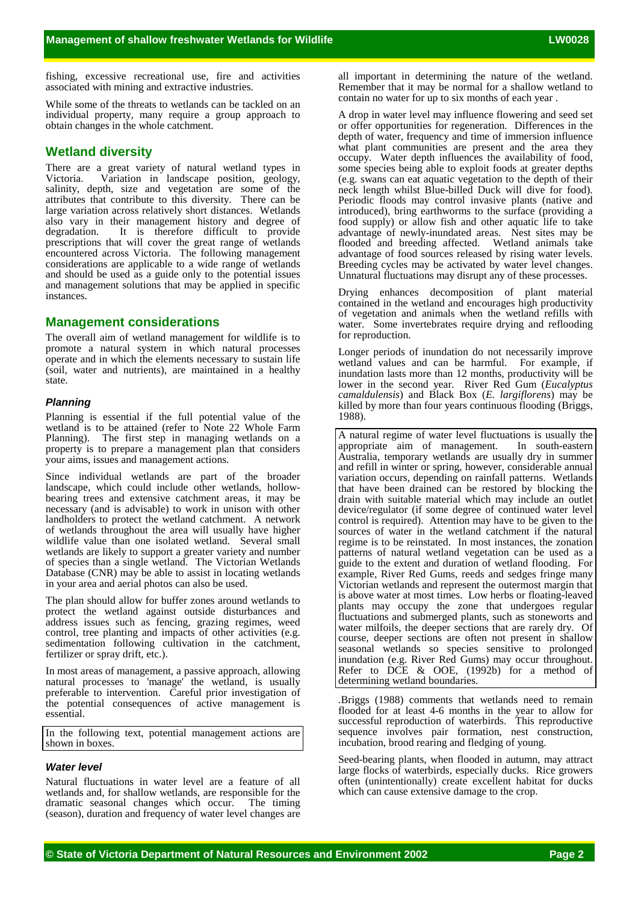fishing, excessive recreational use, fire and activities associated with mining and extractive industries.

While some of the threats to wetlands can be tackled on an individual property, many require a group approach to obtain changes in the whole catchment.

# **Wetland diversity**

There are a great variety of natural wetland types in Victoria. Variation in landscape position, geology, Variation in landscape position, geology, salinity, depth, size and vegetation are some of the attributes that contribute to this diversity. There can be large variation across relatively short distances. Wetlands also vary in their management history and degree of degradation. It is therefore difficult to provide prescriptions that will cover the great range of wetlands encountered across Victoria. The following management considerations are applicable to a wide range of wetlands and should be used as a guide only to the potential issues and management solutions that may be applied in specific instances.

# **Management considerations**

The overall aim of wetland management for wildlife is to promote a natural system in which natural processes operate and in which the elements necessary to sustain life (soil, water and nutrients), are maintained in a healthy state.

# *Planning*

Planning is essential if the full potential value of the wetland is to be attained (refer to Note 22 Whole Farm Planning). The first step in managing wetlands on a property is to prepare a management plan that considers your aims, issues and management actions.

Since individual wetlands are part of the broader landscape, which could include other wetlands, hollowbearing trees and extensive catchment areas, it may be necessary (and is advisable) to work in unison with other landholders to protect the wetland catchment. A network of wetlands throughout the area will usually have higher wildlife value than one isolated wetland. Several small wetlands are likely to support a greater variety and number of species than a single wetland. The Victorian Wetlands Database (CNR) may be able to assist in locating wetlands in your area and aerial photos can also be used.

The plan should allow for buffer zones around wetlands to protect the wetland against outside disturbances and address issues such as fencing, grazing regimes, weed control, tree planting and impacts of other activities (e.g. sedimentation following cultivation in the catchment, fertilizer or spray drift, etc.).

In most areas of management, a passive approach, allowing natural processes to 'manage' the wetland, is usually preferable to intervention. Careful prior investigation of the potential consequences of active management is essential.

In the following text, potential management actions are shown in boxes.

# *Water level*

Natural fluctuations in water level are a feature of all wetlands and, for shallow wetlands, are responsible for the dramatic seasonal changes which occur. The timing (season), duration and frequency of water level changes are all important in determining the nature of the wetland. Remember that it may be normal for a shallow wetland to contain no water for up to six months of each year .

A drop in water level may influence flowering and seed set or offer opportunities for regeneration. Differences in the depth of water, frequency and time of immersion influence what plant communities are present and the area they occupy. Water depth influences the availability of food, some species being able to exploit foods at greater depths (e.g. swans can eat aquatic vegetation to the depth of their neck length whilst Blue-billed Duck will dive for food). Periodic floods may control invasive plants (native and introduced), bring earthworms to the surface (providing a food supply) or allow fish and other aquatic life to take advantage of newly-inundated areas. Nest sites may be flooded and breeding affected. Wetland animals take advantage of food sources released by rising water levels. Breeding cycles may be activated by water level changes. Unnatural fluctuations may disrupt any of these processes.

Drying enhances decomposition of plant material contained in the wetland and encourages high productivity of vegetation and animals when the wetland refills with water. Some invertebrates require drying and reflooding for reproduction.

Longer periods of inundation do not necessarily improve wetland values and can be harmful. For example, if inundation lasts more than 12 months, productivity will be lower in the second year. River Red Gum (*Eucalyptus camaldulensis*) and Black Box (*E. largiflorens*) may be killed by more than four years continuous flooding (Briggs, 1988).

A natural regime of water level fluctuations is usually the appropriate aim of management. In south-eastern Australia, temporary wetlands are usually dry in summer and refill in winter or spring, however, considerable annual variation occurs, depending on rainfall patterns. Wetlands that have been drained can be restored by blocking the drain with suitable material which may include an outlet device/regulator (if some degree of continued water level control is required). Attention may have to be given to the sources of water in the wetland catchment if the natural regime is to be reinstated. In most instances, the zonation patterns of natural wetland vegetation can be used as a guide to the extent and duration of wetland flooding. For example, River Red Gums, reeds and sedges fringe many Victorian wetlands and represent the outermost margin that is above water at most times. Low herbs or floating-leaved plants may occupy the zone that undergoes regular fluctuations and submerged plants, such as stoneworts and water milfoils, the deeper sections that are rarely dry. Of course, deeper sections are often not present in shallow seasonal wetlands so species sensitive to prolonged inundation (e.g. River Red Gums) may occur throughout. Refer to DCE & OOE, (1992b) for a method of determining wetland boundaries.

*.*Briggs (1988) comments that wetlands need to remain flooded for at least 4-6 months in the year to allow for successful reproduction of waterbirds. This reproductive sequence involves pair formation, nest construction, incubation, brood rearing and fledging of young.

Seed-bearing plants, when flooded in autumn, may attract large flocks of waterbirds, especially ducks. Rice growers often (unintentionally) create excellent habitat for ducks which can cause extensive damage to the crop.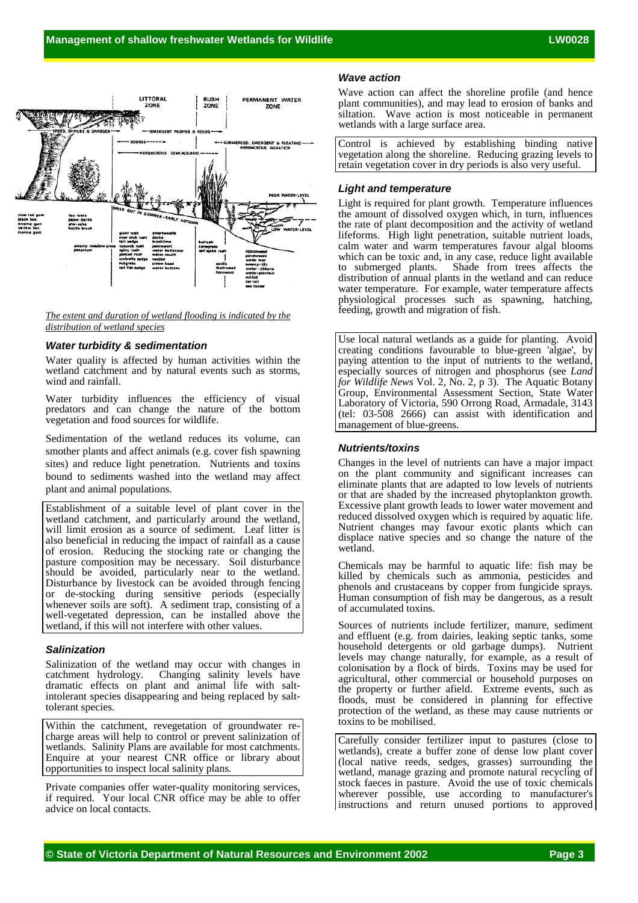

#### *The extent and duration of wetland flooding is indicated by the distribution of wetland species*

### *Water turbidity & sedimentation*

Water quality is affected by human activities within the wetland catchment and by natural events such as storms, wind and rainfall.

Water turbidity influences the efficiency of visual predators and can change the nature of the bottom vegetation and food sources for wildlife.

Sedimentation of the wetland reduces its volume, can smother plants and affect animals (e.g. cover fish spawning sites) and reduce light penetration. Nutrients and toxins bound to sediments washed into the wetland may affect plant and animal populations.

Establishment of a suitable level of plant cover in the wetland catchment, and particularly around the wetland, will limit erosion as a source of sediment. Leaf litter is also beneficial in reducing the impact of rainfall as a cause of erosion. Reducing the stocking rate or changing the pasture composition may be necessary. Soil disturbance should be avoided, particularly near to the wetland. Disturbance by livestock can be avoided through fencing or de-stocking during sensitive periods (especially whenever soils are soft). A sediment trap, consisting of a well-vegetated depression, can be installed above the wetland, if this will not interfere with other values.

#### *Salinization*

Salinization of the wetland may occur with changes in catchment hydrology. Changing salinity levels have dramatic effects on plant and animal life with saltintolerant species disappearing and being replaced by salttolerant species.

Within the catchment, revegetation of groundwater recharge areas will help to control or prevent salinization of wetlands. Salinity Plans are available for most catchments. Enquire at your nearest CNR office or library about opportunities to inspect local salinity plans.

Private companies offer water-quality monitoring services, if required. Your local CNR office may be able to offer advice on local contacts.

#### *Wave action*

Wave action can affect the shoreline profile (and hence plant communities), and may lead to erosion of banks and siltation. Wave action is most noticeable in permanent wetlands with a large surface area.

Control is achieved by establishing binding native vegetation along the shoreline. Reducing grazing levels to retain vegetation cover in dry periods is also very useful.

#### *Light and temperature*

Light is required for plant growth. Temperature influences the amount of dissolved oxygen which, in turn, influences the rate of plant decomposition and the activity of wetland lifeforms. High light penetration, suitable nutrient loads, calm water and warm temperatures favour algal blooms which can be toxic and, in any case, reduce light available to submerged plants. Shade from trees affects the Shade from trees affects the distribution of annual plants in the wetland and can reduce water temperature. For example, water temperature affects physiological processes such as spawning, hatching, feeding, growth and migration of fish.

Use local natural wetlands as a guide for planting. Avoid creating conditions favourable to blue-green 'algae', by paying attention to the input of nutrients to the wetland, especially sources of nitrogen and phosphorus (see *Land for Wildlife News* Vol. 2, No. 2, p 3). The Aquatic Botany Group, Environmental Assessment Section, State Water Laboratory of Victoria, 590 Orrong Road, Armadale, 3143 (tel: 03-508 2666) can assist with identification and management of blue-greens.

#### *Nutrients/toxins*

Changes in the level of nutrients can have a major impact on the plant community and significant increases can eliminate plants that are adapted to low levels of nutrients or that are shaded by the increased phytoplankton growth. Excessive plant growth leads to lower water movement and reduced dissolved oxygen which is required by aquatic life. Nutrient changes may favour exotic plants which can displace native species and so change the nature of the wetland.

Chemicals may be harmful to aquatic life: fish may be killed by chemicals such as ammonia, pesticides and phenols and crustaceans by copper from fungicide sprays. Human consumption of fish may be dangerous, as a result of accumulated toxins.

Sources of nutrients include fertilizer, manure, sediment and effluent (e.g. from dairies, leaking septic tanks, some household detergents or old garbage dumps). Nutrient levels may change naturally, for example, as a result of colonisation by a flock of birds. Toxins may be used for agricultural, other commercial or household purposes on the property or further afield. Extreme events, such as floods, must be considered in planning for effective protection of the wetland, as these may cause nutrients or toxins to be mobilised.

Carefully consider fertilizer input to pastures (close to wetlands), create a buffer zone of dense low plant cover (local native reeds, sedges, grasses) surrounding the wetland, manage grazing and promote natural recycling of stock faeces in pasture. Avoid the use of toxic chemicals wherever possible, use according to manufacturer's instructions and return unused portions to approved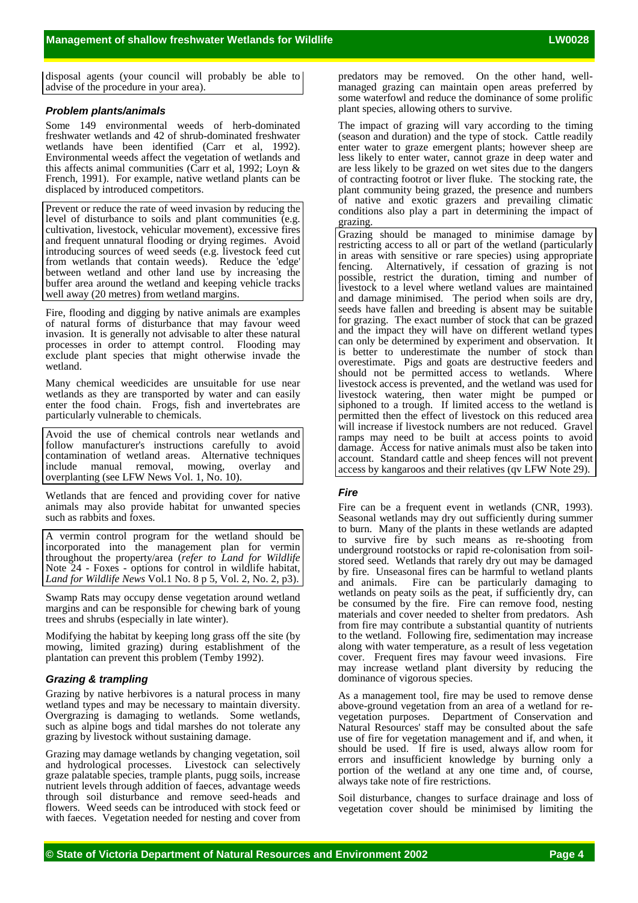disposal agents (your council will probably be able to advise of the procedure in your area).

## *Problem plants/animals*

Some 149 environmental weeds of herb-dominated freshwater wetlands and 42 of shrub-dominated freshwater wetlands have been identified (Carr et al, 1992). Environmental weeds affect the vegetation of wetlands and this affects animal communities (Carr et al, 1992; Loyn & French, 1991). For example, native wetland plants can be displaced by introduced competitors.

Prevent or reduce the rate of weed invasion by reducing the level of disturbance to soils and plant communities (e.g. cultivation, livestock, vehicular movement), excessive fires and frequent unnatural flooding or drying regimes. Avoid introducing sources of weed seeds (e.g. livestock feed cut from wetlands that contain weeds). Reduce the 'edge' between wetland and other land use by increasing the buffer area around the wetland and keeping vehicle tracks well away (20 metres) from wetland margins.

Fire, flooding and digging by native animals are examples of natural forms of disturbance that may favour weed invasion. It is generally not advisable to alter these natural processes in order to attempt control. Flooding may exclude plant species that might otherwise invade the wetland.

Many chemical weedicides are unsuitable for use near wetlands as they are transported by water and can easily enter the food chain. Frogs, fish and invertebrates are particularly vulnerable to chemicals.

Avoid the use of chemical controls near wetlands and follow manufacturer's instructions carefully to avoid contamination of wetland areas. Alternative techniques include manual removal, mowing, overlay and overplanting (see LFW News Vol. 1, No. 10).

Wetlands that are fenced and providing cover for native animals may also provide habitat for unwanted species such as rabbits and foxes.

A vermin control program for the wetland should be incorporated into the management plan for vermin throughout the property/area (*refer to Land for Wildlife* Note 24 - Foxes - options for control in wildlife habitat, *Land for Wildlife News* Vol.1 No. 8 p 5, Vol. 2, No. 2, p3).

Swamp Rats may occupy dense vegetation around wetland margins and can be responsible for chewing bark of young trees and shrubs (especially in late winter).

Modifying the habitat by keeping long grass off the site (by mowing, limited grazing) during establishment of the plantation can prevent this problem (Temby 1992).

# *Grazing & trampling*

Grazing by native herbivores is a natural process in many wetland types and may be necessary to maintain diversity. Overgrazing is damaging to wetlands. Some wetlands, such as alpine bogs and tidal marshes do not tolerate any grazing by livestock without sustaining damage.

Grazing may damage wetlands by changing vegetation, soil and hydrological processes. Livestock can selectively graze palatable species, trample plants, pugg soils, increase nutrient levels through addition of faeces, advantage weeds through soil disturbance and remove seed-heads and flowers. Weed seeds can be introduced with stock feed or with faeces. Vegetation needed for nesting and cover from predators may be removed. On the other hand, wellmanaged grazing can maintain open areas preferred by some waterfowl and reduce the dominance of some prolific plant species, allowing others to survive.

The impact of grazing will vary according to the timing (season and duration) and the type of stock. Cattle readily enter water to graze emergent plants; however sheep are less likely to enter water, cannot graze in deep water and are less likely to be grazed on wet sites due to the dangers of contracting footrot or liver fluke. The stocking rate, the plant community being grazed, the presence and numbers of native and exotic grazers and prevailing climatic conditions also play a part in determining the impact of grazing.

Grazing should be managed to minimise damage by restricting access to all or part of the wetland (particularly in areas with sensitive or rare species) using appropriate fencing. Alternatively, if cessation of grazing is not possible, restrict the duration, timing and number of livestock to a level where wetland values are maintained and damage minimised. The period when soils are dry, seeds have fallen and breeding is absent may be suitable for grazing. The exact number of stock that can be grazed and the impact they will have on different wetland types can only be determined by experiment and observation. It is better to underestimate the number of stock than overestimate. Pigs and goats are destructive feeders and should not be permitted access to wetlands. Where livestock access is prevented, and the wetland was used for livestock watering, then water might be pumped or siphoned to a trough. If limited access to the wetland is permitted then the effect of livestock on this reduced area will increase if livestock numbers are not reduced. Gravel ramps may need to be built at access points to avoid damage. Access for native animals must also be taken into account. Standard cattle and sheep fences will not prevent access by kangaroos and their relatives (qv LFW Note 29).

## *Fire*

Fire can be a frequent event in wetlands (CNR, 1993). Seasonal wetlands may dry out sufficiently during summer to burn. Many of the plants in these wetlands are adapted to survive fire by such means as re-shooting from underground rootstocks or rapid re-colonisation from soilstored seed. Wetlands that rarely dry out may be damaged by fire. Unseasonal fires can be harmful to wetland plants and animals. Fire can be particularly damaging to wetlands on peaty soils as the peat, if sufficiently dry, can be consumed by the fire. Fire can remove food, nesting materials and cover needed to shelter from predators. Ash from fire may contribute a substantial quantity of nutrients to the wetland. Following fire, sedimentation may increase along with water temperature, as a result of less vegetation cover. Frequent fires may favour weed invasions. Fire may increase wetland plant diversity by reducing the dominance of vigorous species.

As a management tool, fire may be used to remove dense above-ground vegetation from an area of a wetland for revegetation purposes. Department of Conservation and Natural Resources' staff may be consulted about the safe use of fire for vegetation management and if, and when, it should be used. If fire is used, always allow room for errors and insufficient knowledge by burning only a portion of the wetland at any one time and, of course, always take note of fire restrictions.

Soil disturbance, changes to surface drainage and loss of vegetation cover should be minimised by limiting the